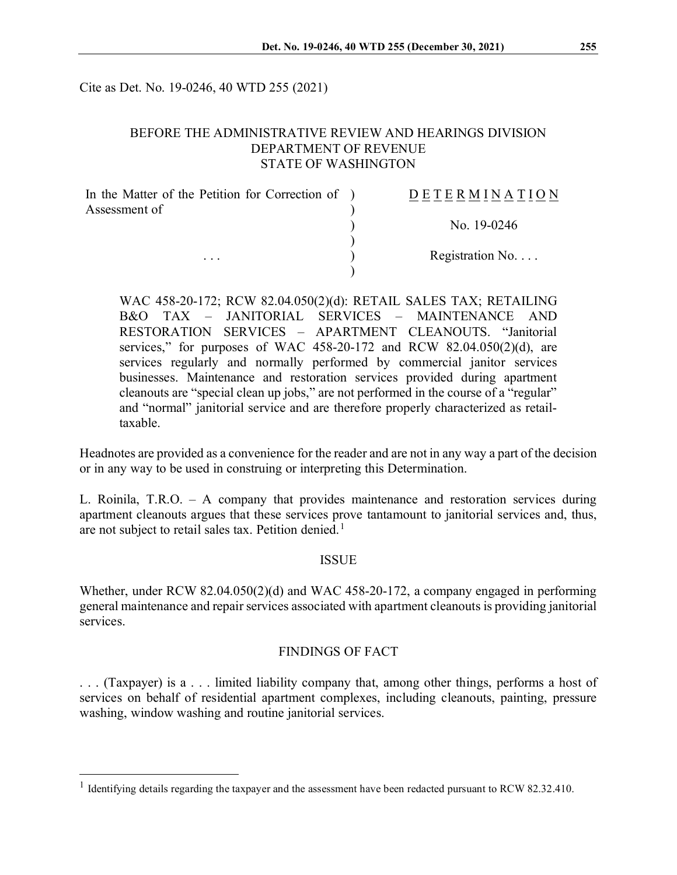Cite as Det. No. 19-0246, 40 WTD 255 (2021)

### BEFORE THE ADMINISTRATIVE REVIEW AND HEARINGS DIVISION DEPARTMENT OF REVENUE STATE OF WASHINGTON

| In the Matter of the Petition for Correction of ) | <b>DETERMINATION</b>     |
|---------------------------------------------------|--------------------------|
| Assessment of<br>$\cdots$                         |                          |
|                                                   | No. 19-0246              |
|                                                   | Registration No. $\dots$ |
|                                                   |                          |

WAC 458-20-172; RCW 82.04.050(2)(d): RETAIL SALES TAX; RETAILING B&O TAX – JANITORIAL SERVICES – MAINTENANCE AND RESTORATION SERVICES – APARTMENT CLEANOUTS. "Janitorial services," for purposes of WAC  $458-20-172$  and RCW  $82.04.050(2)(d)$ , are services regularly and normally performed by commercial janitor services businesses. Maintenance and restoration services provided during apartment cleanouts are "special clean up jobs," are not performed in the course of a "regular" and "normal" janitorial service and are therefore properly characterized as retailtaxable.

Headnotes are provided as a convenience for the reader and are not in any way a part of the decision or in any way to be used in construing or interpreting this Determination.

L. Roinila, T.R.O. – A company that provides maintenance and restoration services during apartment cleanouts argues that these services prove tantamount to janitorial services and, thus, are not subject to retail sales tax. Petition denied.<sup>[1](#page-0-0)</sup>

#### ISSUE

Whether, under RCW 82.04.050(2)(d) and WAC 458-20-172, a company engaged in performing general maintenance and repair services associated with apartment cleanouts is providing janitorial services.

#### FINDINGS OF FACT

. . . (Taxpayer) is a . . . limited liability company that, among other things, performs a host of services on behalf of residential apartment complexes, including cleanouts, painting, pressure washing, window washing and routine janitorial services.

<span id="page-0-0"></span><sup>&</sup>lt;sup>1</sup> Identifying details regarding the taxpayer and the assessment have been redacted pursuant to RCW 82.32.410.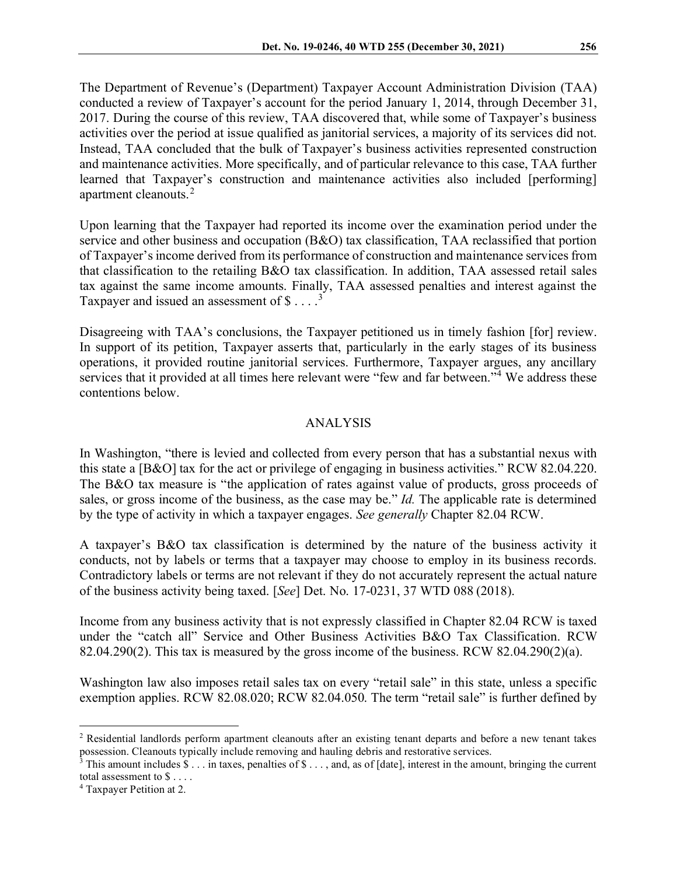The Department of Revenue's (Department) Taxpayer Account Administration Division (TAA) conducted a review of Taxpayer's account for the period January 1, 2014, through December 31, 2017. During the course of this review, TAA discovered that, while some of Taxpayer's business activities over the period at issue qualified as janitorial services, a majority of its services did not. Instead, TAA concluded that the bulk of Taxpayer's business activities represented construction and maintenance activities. More specifically, and of particular relevance to this case, TAA further learned that Taxpayer's construction and maintenance activities also included [performing] apartment cleanouts.[2](#page-1-0)

Upon learning that the Taxpayer had reported its income over the examination period under the service and other business and occupation (B&O) tax classification, TAA reclassified that portion of Taxpayer's income derived from its performance of construction and maintenance services from that classification to the retailing B&O tax classification. In addition, TAA assessed retail sales tax against the same income amounts. Finally, TAA assessed penalties and interest against the Taxpayer and issued an assessment of  $$ \ldots$ .<sup>[3](#page-1-1)</sup>

Disagreeing with TAA's conclusions, the Taxpayer petitioned us in timely fashion [for] review. In support of its petition, Taxpayer asserts that, particularly in the early stages of its business operations, it provided routine janitorial services. Furthermore, Taxpayer argues, any ancillary services that it provided at all times here relevant were "few and far between."<sup>[4](#page-1-2)</sup> We address these contentions below.

#### ANALYSIS

In Washington, "there is levied and collected from every person that has a substantial nexus with this state a [B&O] tax for the act or privilege of engaging in business activities." RCW 82.04.220. The B&O tax measure is "the application of rates against value of products, gross proceeds of sales, or gross income of the business, as the case may be." *Id.* The applicable rate is determined by the type of activity in which a taxpayer engages. *See generally* Chapter 82.04 RCW.

A taxpayer's B&O tax classification is determined by the nature of the business activity it conducts, not by labels or terms that a taxpayer may choose to employ in its business records. Contradictory labels or terms are not relevant if they do not accurately represent the actual nature of the business activity being taxed. [*See*] Det. No. 17-0231, 37 WTD 088 (2018).

Income from any business activity that is not expressly classified in Chapter 82.04 RCW is taxed under the "catch all" Service and Other Business Activities B&O Tax Classification. RCW 82.04.290(2). This tax is measured by the gross income of the business. RCW  $82.04.290(2)(a)$ .

Washington law also imposes retail sales tax on every "retail sale" in this state, unless a specific exemption applies. RCW 82.08.020; RCW 82.04.050. The term "retail sale" is further defined by

<span id="page-1-0"></span><sup>2</sup> Residential landlords perform apartment cleanouts after an existing tenant departs and before a new tenant takes possession. Cleanouts typically include removing and hauling debris and restorative services.

<span id="page-1-1"></span><sup>&</sup>lt;sup>3</sup> This amount includes  $\$ \dots$  in taxes, penalties of  $\$ \dots$ , and, as of [date], interest in the amount, bringing the current total assessment to \$ . . . .

<span id="page-1-2"></span><sup>4</sup> Taxpayer Petition at 2.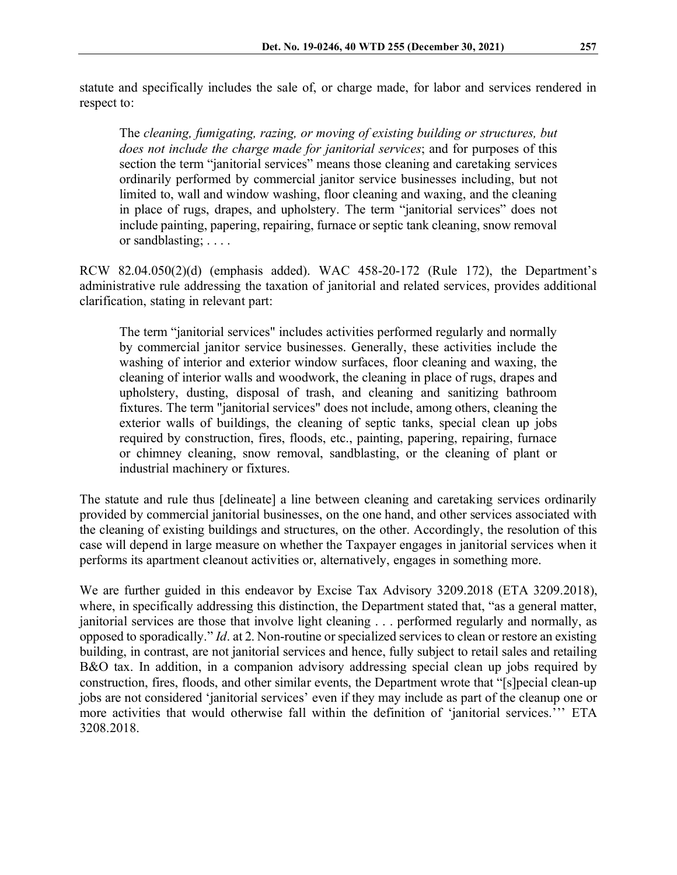statute and specifically includes the sale of, or charge made, for labor and services rendered in respect to:

The *cleaning, fumigating, razing, or moving of existing building or structures, but does not include the charge made for janitorial services*; and for purposes of this section the term "janitorial services" means those cleaning and caretaking services ordinarily performed by commercial janitor service businesses including, but not limited to, wall and window washing, floor cleaning and waxing, and the cleaning in place of rugs, drapes, and upholstery. The term "janitorial services" does not include painting, papering, repairing, furnace or septic tank cleaning, snow removal or sandblasting; . . . .

RCW 82.04.050(2)(d) (emphasis added). WAC 458-20-172 (Rule 172), the Department's administrative rule addressing the taxation of janitorial and related services, provides additional clarification, stating in relevant part:

The term "janitorial services" includes activities performed regularly and normally by commercial janitor service businesses. Generally, these activities include the washing of interior and exterior window surfaces, floor cleaning and waxing, the cleaning of interior walls and woodwork, the cleaning in place of rugs, drapes and upholstery, dusting, disposal of trash, and cleaning and sanitizing bathroom fixtures. The term "janitorial services" does not include, among others, cleaning the exterior walls of buildings, the cleaning of septic tanks, special clean up jobs required by construction, fires, floods, etc., painting, papering, repairing, furnace or chimney cleaning, snow removal, sandblasting, or the cleaning of plant or industrial machinery or fixtures.

The statute and rule thus [delineate] a line between cleaning and caretaking services ordinarily provided by commercial janitorial businesses, on the one hand, and other services associated with the cleaning of existing buildings and structures, on the other. Accordingly, the resolution of this case will depend in large measure on whether the Taxpayer engages in janitorial services when it performs its apartment cleanout activities or, alternatively, engages in something more.

We are further guided in this endeavor by Excise Tax Advisory 3209.2018 (ETA 3209.2018), where, in specifically addressing this distinction, the Department stated that, "as a general matter, janitorial services are those that involve light cleaning . . . performed regularly and normally, as opposed to sporadically." *Id*. at 2. Non-routine or specialized services to clean or restore an existing building, in contrast, are not janitorial services and hence, fully subject to retail sales and retailing B&O tax. In addition, in a companion advisory addressing special clean up jobs required by construction, fires, floods, and other similar events, the Department wrote that "[s]pecial clean-up jobs are not considered 'janitorial services' even if they may include as part of the cleanup one or more activities that would otherwise fall within the definition of 'janitorial services.''' ETA 3208.2018.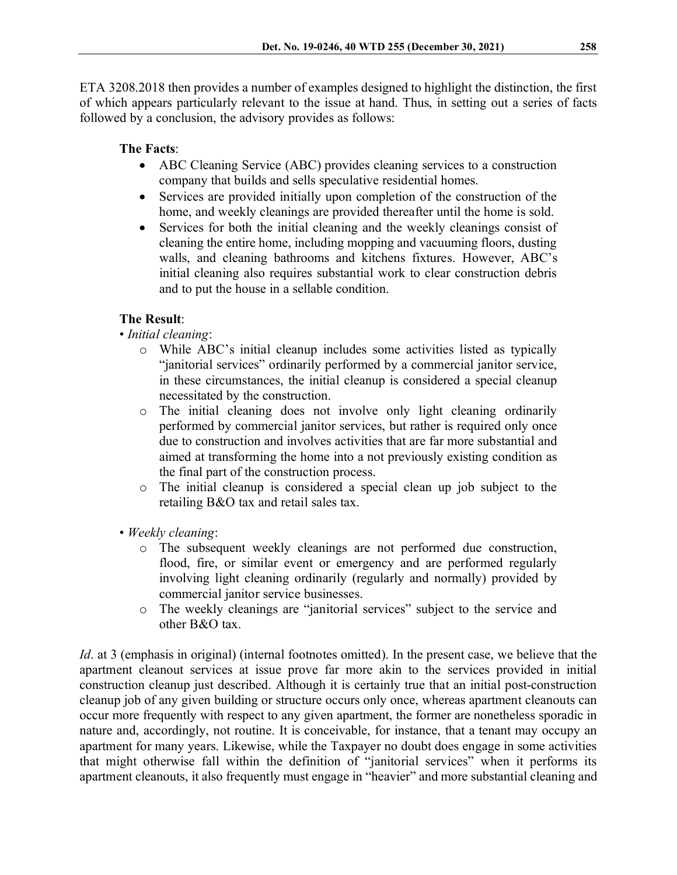ETA 3208.2018 then provides a number of examples designed to highlight the distinction, the first of which appears particularly relevant to the issue at hand. Thus, in setting out a series of facts followed by a conclusion, the advisory provides as follows:

## **The Facts**:

- ABC Cleaning Service (ABC) provides cleaning services to a construction company that builds and sells speculative residential homes.
- Services are provided initially upon completion of the construction of the home, and weekly cleanings are provided thereafter until the home is sold.
- Services for both the initial cleaning and the weekly cleanings consist of cleaning the entire home, including mopping and vacuuming floors, dusting walls, and cleaning bathrooms and kitchens fixtures. However, ABC's initial cleaning also requires substantial work to clear construction debris and to put the house in a sellable condition.

# **The Result**:

- *Initial cleaning*:
	- o While ABC's initial cleanup includes some activities listed as typically "janitorial services" ordinarily performed by a commercial janitor service, in these circumstances, the initial cleanup is considered a special cleanup necessitated by the construction.
	- o The initial cleaning does not involve only light cleaning ordinarily performed by commercial janitor services, but rather is required only once due to construction and involves activities that are far more substantial and aimed at transforming the home into a not previously existing condition as the final part of the construction process.
	- o The initial cleanup is considered a special clean up job subject to the retailing B&O tax and retail sales tax.
- *Weekly cleaning*:
	- o The subsequent weekly cleanings are not performed due construction, flood, fire, or similar event or emergency and are performed regularly involving light cleaning ordinarily (regularly and normally) provided by commercial janitor service businesses.
	- o The weekly cleanings are "janitorial services" subject to the service and other B&O tax.

*Id*. at 3 (emphasis in original) (internal footnotes omitted). In the present case, we believe that the apartment cleanout services at issue prove far more akin to the services provided in initial construction cleanup just described. Although it is certainly true that an initial post-construction cleanup job of any given building or structure occurs only once, whereas apartment cleanouts can occur more frequently with respect to any given apartment, the former are nonetheless sporadic in nature and, accordingly, not routine. It is conceivable, for instance, that a tenant may occupy an apartment for many years. Likewise, while the Taxpayer no doubt does engage in some activities that might otherwise fall within the definition of "janitorial services" when it performs its apartment cleanouts, it also frequently must engage in "heavier" and more substantial cleaning and